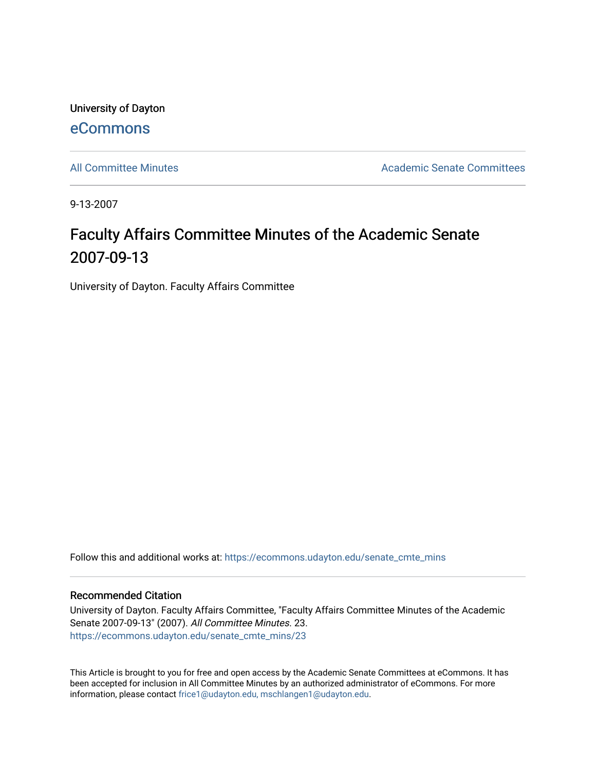University of Dayton [eCommons](https://ecommons.udayton.edu/)

[All Committee Minutes](https://ecommons.udayton.edu/senate_cmte_mins) **Academic Senate Committees** Academic Senate Committees

9-13-2007

## Faculty Affairs Committee Minutes of the Academic Senate 2007-09-13

University of Dayton. Faculty Affairs Committee

Follow this and additional works at: [https://ecommons.udayton.edu/senate\\_cmte\\_mins](https://ecommons.udayton.edu/senate_cmte_mins?utm_source=ecommons.udayton.edu%2Fsenate_cmte_mins%2F23&utm_medium=PDF&utm_campaign=PDFCoverPages)

## Recommended Citation

University of Dayton. Faculty Affairs Committee, "Faculty Affairs Committee Minutes of the Academic Senate 2007-09-13" (2007). All Committee Minutes. 23. [https://ecommons.udayton.edu/senate\\_cmte\\_mins/23](https://ecommons.udayton.edu/senate_cmte_mins/23?utm_source=ecommons.udayton.edu%2Fsenate_cmte_mins%2F23&utm_medium=PDF&utm_campaign=PDFCoverPages) 

This Article is brought to you for free and open access by the Academic Senate Committees at eCommons. It has been accepted for inclusion in All Committee Minutes by an authorized administrator of eCommons. For more information, please contact [frice1@udayton.edu, mschlangen1@udayton.edu](mailto:frice1@udayton.edu,%20mschlangen1@udayton.edu).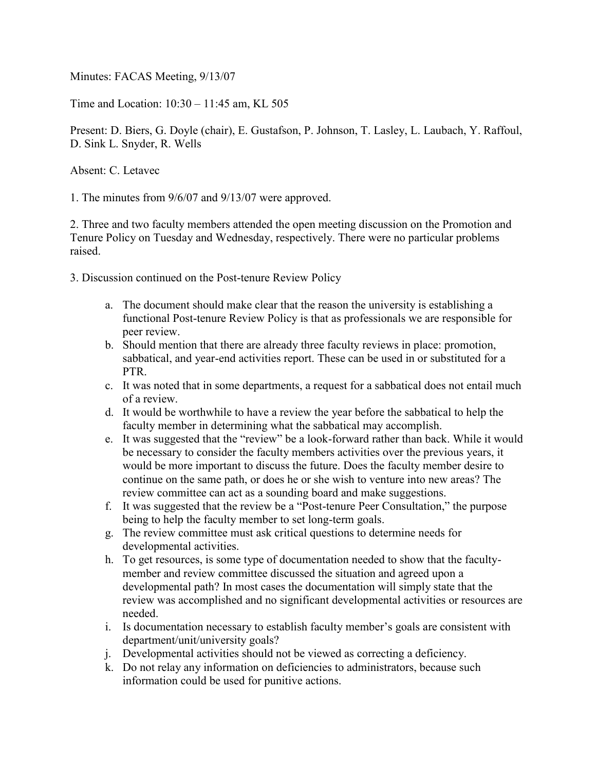Minutes: FACAS Meeting, 9/13/07

Time and Location: 10:30 – 11:45 am, KL 505

Present: D. Biers, G. Doyle (chair), E. Gustafson, P. Johnson, T. Lasley, L. Laubach, Y. Raffoul, D. Sink L. Snyder, R. Wells

Absent: C. Letavec

1. The minutes from 9/6/07 and 9/13/07 were approved.

2. Three and two faculty members attended the open meeting discussion on the Promotion and Tenure Policy on Tuesday and Wednesday, respectively. There were no particular problems raised.

3. Discussion continued on the Post-tenure Review Policy

- a. The document should make clear that the reason the university is establishing a functional Post-tenure Review Policy is that as professionals we are responsible for peer review.
- b. Should mention that there are already three faculty reviews in place: promotion, sabbatical, and year-end activities report. These can be used in or substituted for a PTR.
- c. It was noted that in some departments, a request for a sabbatical does not entail much of a review.
- d. It would be worthwhile to have a review the year before the sabbatical to help the faculty member in determining what the sabbatical may accomplish.
- e. It was suggested that the "review" be a look-forward rather than back. While it would be necessary to consider the faculty members activities over the previous years, it would be more important to discuss the future. Does the faculty member desire to continue on the same path, or does he or she wish to venture into new areas? The review committee can act as a sounding board and make suggestions.
- f. It was suggested that the review be a "Post-tenure Peer Consultation," the purpose being to help the faculty member to set long-term goals.
- g. The review committee must ask critical questions to determine needs for developmental activities.
- h. To get resources, is some type of documentation needed to show that the facultymember and review committee discussed the situation and agreed upon a developmental path? In most cases the documentation will simply state that the review was accomplished and no significant developmental activities or resources are needed.
- i. Is documentation necessary to establish faculty member's goals are consistent with department/unit/university goals?
- j. Developmental activities should not be viewed as correcting a deficiency.
- k. Do not relay any information on deficiencies to administrators, because such information could be used for punitive actions.